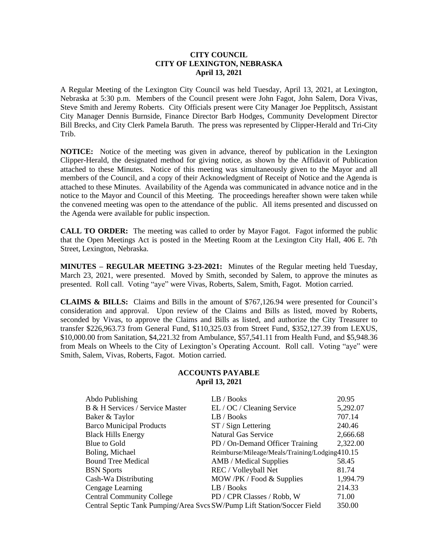### **CITY COUNCIL CITY OF LEXINGTON, NEBRASKA April 13, 2021**

A Regular Meeting of the Lexington City Council was held Tuesday, April 13, 2021, at Lexington, Nebraska at 5:30 p.m. Members of the Council present were John Fagot, John Salem, Dora Vivas, Steve Smith and Jeremy Roberts. City Officials present were City Manager Joe Pepplitsch, Assistant City Manager Dennis Burnside, Finance Director Barb Hodges, Community Development Director Bill Brecks, and City Clerk Pamela Baruth. The press was represented by Clipper-Herald and Tri-City Trib.

**NOTICE:** Notice of the meeting was given in advance, thereof by publication in the Lexington Clipper-Herald, the designated method for giving notice, as shown by the Affidavit of Publication attached to these Minutes. Notice of this meeting was simultaneously given to the Mayor and all members of the Council, and a copy of their Acknowledgment of Receipt of Notice and the Agenda is attached to these Minutes. Availability of the Agenda was communicated in advance notice and in the notice to the Mayor and Council of this Meeting. The proceedings hereafter shown were taken while the convened meeting was open to the attendance of the public. All items presented and discussed on the Agenda were available for public inspection.

**CALL TO ORDER:** The meeting was called to order by Mayor Fagot. Fagot informed the public that the Open Meetings Act is posted in the Meeting Room at the Lexington City Hall, 406 E. 7th Street, Lexington, Nebraska.

**MINUTES – REGULAR MEETING 3-23-2021:** Minutes of the Regular meeting held Tuesday, March 23, 2021, were presented. Moved by Smith, seconded by Salem, to approve the minutes as presented. Roll call. Voting "aye" were Vivas, Roberts, Salem, Smith, Fagot. Motion carried.

**CLAIMS & BILLS:** Claims and Bills in the amount of \$767,126.94 were presented for Council's consideration and approval. Upon review of the Claims and Bills as listed, moved by Roberts, seconded by Vivas, to approve the Claims and Bills as listed, and authorize the City Treasurer to transfer \$226,963.73 from General Fund, \$110,325.03 from Street Fund, \$352,127.39 from LEXUS, \$10,000.00 from Sanitation, \$4,221.32 from Ambulance, \$57,541.11 from Health Fund, and \$5,948.36 from Meals on Wheels to the City of Lexington's Operating Account. Roll call. Voting "aye" were Smith, Salem, Vivas, Roberts, Fagot. Motion carried.

### **ACCOUNTS PAYABLE April 13, 2021**

| LB / Books                                                              | 20.95    |
|-------------------------------------------------------------------------|----------|
| EL / OC / Cleaning Service                                              | 5,292.07 |
| LB / Books                                                              | 707.14   |
| $ST / Sign$ Lettering                                                   | 240.46   |
| <b>Natural Gas Service</b>                                              | 2,666.68 |
| PD / On-Demand Officer Training                                         | 2,322.00 |
| Reimburse/Mileage/Meals/Training/Lodging410.15                          |          |
| AMB / Medical Supplies                                                  | 58.45    |
| REC / Volleyball Net                                                    | 81.74    |
| MOW /PK / Food & Supplies                                               | 1,994.79 |
| LB / Books                                                              | 214.33   |
| PD / CPR Classes / Robb, W                                              | 71.00    |
| Central Septic Tank Pumping/Area Svcs SW/Pump Lift Station/Soccer Field | 350.00   |
|                                                                         |          |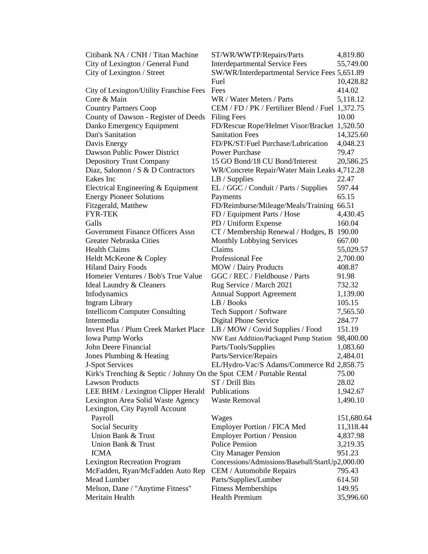| Citibank NA / CNH / Titan Machine                                    | ST/WR/WWTP/Repairs/Parts                         | 4,819.80   |
|----------------------------------------------------------------------|--------------------------------------------------|------------|
| City of Lexington / General Fund                                     | <b>Interdepartmental Service Fees</b>            | 55,749.00  |
| City of Lexington / Street                                           | SW/WR/Interdepartmental Service Fees 5,651.89    |            |
|                                                                      | Fuel                                             | 10,428.82  |
| City of Lexington/Utility Franchise Fees                             | Fees                                             | 414.02     |
| Core & Main                                                          | WR / Water Meters / Parts                        | 5,118.12   |
| <b>Country Partners Coop</b>                                         | CEM / FD / PK / Fertilizer Blend / Fuel 1,372.75 |            |
| County of Dawson - Register of Deeds                                 | <b>Filing Fees</b>                               | 10.00      |
| Danko Emergency Equipment                                            | FD/Rescue Rope/Helmet Visor/Bracket 1,520.50     |            |
| Dan's Sanitation                                                     | <b>Sanitation Fees</b>                           | 14,325.60  |
| Davis Energy                                                         | FD/PK/ST/Fuel Purchase/Lubrication               | 4,048.23   |
| Dawson Public Power District                                         | <b>Power Purchase</b>                            | 79.47      |
| <b>Depository Trust Company</b>                                      | 15 GO Bond/18 CU Bond/Interest                   | 20,586.25  |
| Diaz, Salomon / S & D Contractors                                    | WR/Concrete Repair/Water Main Leaks 4,712.28     |            |
| Eakes Inc                                                            | $LB /$ Supplies                                  | 22.47      |
| Electrical Engineering & Equipment                                   | EL / GGC / Conduit / Parts / Supplies            | 597.44     |
| <b>Energy Pioneer Solutions</b>                                      | Payments                                         | 65.15      |
| Fitzgerald, Matthew                                                  | FD/Reimburse/Mileage/Meals/Training              | 66.51      |
| <b>FYR-TEK</b>                                                       | FD / Equipment Parts / Hose                      | 4,430.45   |
| Galls                                                                | PD / Uniform Expense                             | 160.04     |
| Government Finance Officers Assn                                     | CT / Membership Renewal / Hodges, B              | 190.00     |
| Greater Nebraska Cities                                              | <b>Monthly Lobbying Services</b>                 | 667.00     |
| <b>Health Claims</b>                                                 | Claims                                           | 55,029.57  |
| Heldt McKeone & Copley                                               | Professional Fee                                 | 2,700.00   |
| <b>Hiland Dairy Foods</b>                                            | <b>MOW</b> / Dairy Products                      | 408.87     |
| Homeier Ventures / Bob's True Value                                  | GGC / REC / Fieldhouse / Parts                   | 91.98      |
| Ideal Laundry & Cleaners                                             | Rug Service / March 2021                         | 732.32     |
| Infodynamics                                                         | <b>Annual Support Agreement</b>                  | 1,139.00   |
| <b>Ingram Library</b>                                                | LB / Books                                       | 105.15     |
| <b>Intellicom Computer Consulting</b>                                | Tech Support / Software                          | 7,565.50   |
| Intermedia                                                           | Digital Phone Service                            | 284.77     |
| <b>Invest Plus / Plum Creek Market Place</b>                         | LB / MOW / Covid Supplies / Food                 | 151.19     |
| <b>Iowa Pump Works</b>                                               | NW East Addition/Packaged Pump Station           | 98,400.00  |
| John Deere Financial                                                 | Parts/Tools/Supplies                             | 1,083.60   |
| Jones Plumbing & Heating                                             | Parts/Service/Repairs                            | 2,484.01   |
| J-Spot Services                                                      | EL/Hydro-Vac/S Adams/Commerce Rd 2,858.75        |            |
| Kirk's Trenching & Septic / Johnny On the Spot CEM / Portable Rental |                                                  | 75.00      |
| <b>Lawson Products</b>                                               | ST / Drill Bits                                  | 28.02      |
| LEE BHM / Lexington Clipper Herald                                   | Publications                                     | 1,942.67   |
| Lexington Area Solid Waste Agency                                    | <b>Waste Removal</b>                             | 1,490.10   |
| Lexington, City Payroll Account                                      |                                                  |            |
| Payroll                                                              | Wages                                            | 151,680.64 |
| Social Security                                                      | Employer Portion / FICA Med                      | 11,318.44  |
| Union Bank & Trust                                                   | <b>Employer Portion / Pension</b>                | 4,837.98   |
| Union Bank & Trust                                                   | Police Pension                                   | 3,219.35   |
| <b>ICMA</b>                                                          | <b>City Manager Pension</b>                      | 951.23     |
| <b>Lexington Recreation Program</b>                                  | Concessions/Admissions/Baseball/StartUp2,000.00  |            |
| McFadden, Ryan/McFadden Auto Rep                                     | CEM / Automobile Repairs                         | 795.43     |
| Mead Lumber                                                          | Parts/Supplies/Lumber                            | 614.50     |
| Melson, Dane / "Anytime Fitness"                                     | <b>Fitness Memberships</b>                       | 149.95     |
| Meritain Health                                                      | <b>Health Premium</b>                            | 35,996.60  |
|                                                                      |                                                  |            |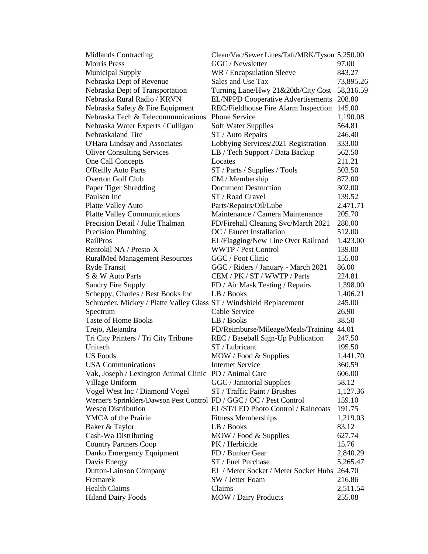| GGC / Newsletter<br>97.00<br>WR / Encapsulation Sleeve<br>843.27<br>Sales and Use Tax<br>73,895.26<br>Turning Lane/Hwy 21&20th/City Cost<br>58,316.59<br>EL/NPPD Cooperative Advertisements<br>208.80<br>REC/Fieldhouse Fire Alarm Inspection<br>145.00<br><b>Phone Service</b><br>1,190.08<br>564.81<br><b>Soft Water Supplies</b><br>246.40<br>ST / Auto Repairs<br>Lobbying Services/2021 Registration<br>O'Hara Lindsay and Associates<br>333.00<br><b>Oliver Consulting Services</b><br>LB / Tech Support / Data Backup<br>562.50<br>One Call Concepts<br>211.21<br>Locates<br><b>O'Reilly Auto Parts</b><br>ST / Parts / Supplies / Tools<br>503.50<br>CM / Membership<br>872.00<br><b>Document Destruction</b><br>Paper Tiger Shredding<br>302.00<br>ST / Road Gravel<br>139.52<br>Platte Valley Auto<br>Parts/Repairs/Oil/Lube<br>2,471.71<br>Maintenance / Camera Maintenance<br><b>Platte Valley Communications</b><br>205.70<br>Precision Detail / Julie Thalman<br>FD/Firehall Cleaning Svc/March 2021<br>280.00<br>Precision Plumbing<br>OC / Faucet Installation<br>512.00<br>EL/Flagging/New Line Over Railroad<br>1,423.00<br><b>WWTP</b> / Pest Control<br>139.00<br>GGC / Foot Clinic<br>155.00<br><b>RuralMed Management Resources</b><br><b>Ryde Transit</b><br>GGC / Riders / January - March 2021<br>86.00<br>CEM / PK / ST / WWTP / Parts<br>224.81<br>Sandry Fire Supply<br>FD / Air Mask Testing / Repairs<br>1,398.00<br>Scheppy, Charles / Best Books Inc<br>LB / Books<br>1,406.21<br>245.00<br>Schroeder, Mickey / Platte Valley Glass ST / Windshield Replacement<br>Cable Service<br>Spectrum<br>26.90<br><b>Taste of Home Books</b><br>LB / Books<br>38.50<br>44.01<br>Trejo, Alejandra<br>FD/Reimburse/Mileage/Meals/Training<br>REC / Baseball Sign-Up Publication<br>Tri City Printers / Tri City Tribune<br>247.50<br>ST / Lubricant<br>195.50<br>MOW / Food & Supplies<br>1,441.70<br>360.59<br><b>Internet Service</b><br><b>USA</b> Communications<br>Vak, Joseph / Lexington Animal Clinic PD / Animal Care<br>606.00<br>Village Uniform<br>GGC / Janitorial Supplies<br>58.12<br>Vogel West Inc / Diamond Vogel<br>ST / Traffic Paint / Brushes<br>1,127.36<br>Werner's Sprinklers/Dawson Pest Control FD / GGC / OC / Pest Control<br>159.10<br><b>Wesco Distribution</b><br>EL/ST/LED Photo Control / Raincoats<br>191.75<br>YMCA of the Prairie<br><b>Fitness Memberships</b><br>1,219.03<br>Baker & Taylor<br>LB / Books<br>83.12<br>Cash-Wa Distributing<br>MOW / Food & Supplies<br>627.74<br><b>Country Partners Coop</b><br>PK / Herbicide<br>15.76<br>Danko Emergency Equipment<br>FD / Bunker Gear<br>2,840.29 | <b>Midlands Contracting</b>        | Clean/Vac/Sewer Lines/Taft/MRK/Tyson 5,250.00 |          |
|-------------------------------------------------------------------------------------------------------------------------------------------------------------------------------------------------------------------------------------------------------------------------------------------------------------------------------------------------------------------------------------------------------------------------------------------------------------------------------------------------------------------------------------------------------------------------------------------------------------------------------------------------------------------------------------------------------------------------------------------------------------------------------------------------------------------------------------------------------------------------------------------------------------------------------------------------------------------------------------------------------------------------------------------------------------------------------------------------------------------------------------------------------------------------------------------------------------------------------------------------------------------------------------------------------------------------------------------------------------------------------------------------------------------------------------------------------------------------------------------------------------------------------------------------------------------------------------------------------------------------------------------------------------------------------------------------------------------------------------------------------------------------------------------------------------------------------------------------------------------------------------------------------------------------------------------------------------------------------------------------------------------------------------------------------------------------------------------------------------------------------------------------------------------------------------------------------------------------------------------------------------------------------------------------------------------------------------------------------------------------------------------------------------------------------------------------------------------------------------------------------------------------------------------------------------------------------------------------------------------------------------------------------------------|------------------------------------|-----------------------------------------------|----------|
|                                                                                                                                                                                                                                                                                                                                                                                                                                                                                                                                                                                                                                                                                                                                                                                                                                                                                                                                                                                                                                                                                                                                                                                                                                                                                                                                                                                                                                                                                                                                                                                                                                                                                                                                                                                                                                                                                                                                                                                                                                                                                                                                                                                                                                                                                                                                                                                                                                                                                                                                                                                                                                                                   | <b>Morris Press</b>                |                                               |          |
|                                                                                                                                                                                                                                                                                                                                                                                                                                                                                                                                                                                                                                                                                                                                                                                                                                                                                                                                                                                                                                                                                                                                                                                                                                                                                                                                                                                                                                                                                                                                                                                                                                                                                                                                                                                                                                                                                                                                                                                                                                                                                                                                                                                                                                                                                                                                                                                                                                                                                                                                                                                                                                                                   | <b>Municipal Supply</b>            |                                               |          |
|                                                                                                                                                                                                                                                                                                                                                                                                                                                                                                                                                                                                                                                                                                                                                                                                                                                                                                                                                                                                                                                                                                                                                                                                                                                                                                                                                                                                                                                                                                                                                                                                                                                                                                                                                                                                                                                                                                                                                                                                                                                                                                                                                                                                                                                                                                                                                                                                                                                                                                                                                                                                                                                                   | Nebraska Dept of Revenue           |                                               |          |
|                                                                                                                                                                                                                                                                                                                                                                                                                                                                                                                                                                                                                                                                                                                                                                                                                                                                                                                                                                                                                                                                                                                                                                                                                                                                                                                                                                                                                                                                                                                                                                                                                                                                                                                                                                                                                                                                                                                                                                                                                                                                                                                                                                                                                                                                                                                                                                                                                                                                                                                                                                                                                                                                   | Nebraska Dept of Transportation    |                                               |          |
|                                                                                                                                                                                                                                                                                                                                                                                                                                                                                                                                                                                                                                                                                                                                                                                                                                                                                                                                                                                                                                                                                                                                                                                                                                                                                                                                                                                                                                                                                                                                                                                                                                                                                                                                                                                                                                                                                                                                                                                                                                                                                                                                                                                                                                                                                                                                                                                                                                                                                                                                                                                                                                                                   | Nebraska Rural Radio / KRVN        |                                               |          |
|                                                                                                                                                                                                                                                                                                                                                                                                                                                                                                                                                                                                                                                                                                                                                                                                                                                                                                                                                                                                                                                                                                                                                                                                                                                                                                                                                                                                                                                                                                                                                                                                                                                                                                                                                                                                                                                                                                                                                                                                                                                                                                                                                                                                                                                                                                                                                                                                                                                                                                                                                                                                                                                                   | Nebraska Safety & Fire Equipment   |                                               |          |
|                                                                                                                                                                                                                                                                                                                                                                                                                                                                                                                                                                                                                                                                                                                                                                                                                                                                                                                                                                                                                                                                                                                                                                                                                                                                                                                                                                                                                                                                                                                                                                                                                                                                                                                                                                                                                                                                                                                                                                                                                                                                                                                                                                                                                                                                                                                                                                                                                                                                                                                                                                                                                                                                   | Nebraska Tech & Telecommunications |                                               |          |
|                                                                                                                                                                                                                                                                                                                                                                                                                                                                                                                                                                                                                                                                                                                                                                                                                                                                                                                                                                                                                                                                                                                                                                                                                                                                                                                                                                                                                                                                                                                                                                                                                                                                                                                                                                                                                                                                                                                                                                                                                                                                                                                                                                                                                                                                                                                                                                                                                                                                                                                                                                                                                                                                   | Nebraska Water Experts / Culligan  |                                               |          |
|                                                                                                                                                                                                                                                                                                                                                                                                                                                                                                                                                                                                                                                                                                                                                                                                                                                                                                                                                                                                                                                                                                                                                                                                                                                                                                                                                                                                                                                                                                                                                                                                                                                                                                                                                                                                                                                                                                                                                                                                                                                                                                                                                                                                                                                                                                                                                                                                                                                                                                                                                                                                                                                                   | Nebraskaland Tire                  |                                               |          |
|                                                                                                                                                                                                                                                                                                                                                                                                                                                                                                                                                                                                                                                                                                                                                                                                                                                                                                                                                                                                                                                                                                                                                                                                                                                                                                                                                                                                                                                                                                                                                                                                                                                                                                                                                                                                                                                                                                                                                                                                                                                                                                                                                                                                                                                                                                                                                                                                                                                                                                                                                                                                                                                                   |                                    |                                               |          |
|                                                                                                                                                                                                                                                                                                                                                                                                                                                                                                                                                                                                                                                                                                                                                                                                                                                                                                                                                                                                                                                                                                                                                                                                                                                                                                                                                                                                                                                                                                                                                                                                                                                                                                                                                                                                                                                                                                                                                                                                                                                                                                                                                                                                                                                                                                                                                                                                                                                                                                                                                                                                                                                                   |                                    |                                               |          |
|                                                                                                                                                                                                                                                                                                                                                                                                                                                                                                                                                                                                                                                                                                                                                                                                                                                                                                                                                                                                                                                                                                                                                                                                                                                                                                                                                                                                                                                                                                                                                                                                                                                                                                                                                                                                                                                                                                                                                                                                                                                                                                                                                                                                                                                                                                                                                                                                                                                                                                                                                                                                                                                                   |                                    |                                               |          |
|                                                                                                                                                                                                                                                                                                                                                                                                                                                                                                                                                                                                                                                                                                                                                                                                                                                                                                                                                                                                                                                                                                                                                                                                                                                                                                                                                                                                                                                                                                                                                                                                                                                                                                                                                                                                                                                                                                                                                                                                                                                                                                                                                                                                                                                                                                                                                                                                                                                                                                                                                                                                                                                                   |                                    |                                               |          |
|                                                                                                                                                                                                                                                                                                                                                                                                                                                                                                                                                                                                                                                                                                                                                                                                                                                                                                                                                                                                                                                                                                                                                                                                                                                                                                                                                                                                                                                                                                                                                                                                                                                                                                                                                                                                                                                                                                                                                                                                                                                                                                                                                                                                                                                                                                                                                                                                                                                                                                                                                                                                                                                                   | <b>Overton Golf Club</b>           |                                               |          |
|                                                                                                                                                                                                                                                                                                                                                                                                                                                                                                                                                                                                                                                                                                                                                                                                                                                                                                                                                                                                                                                                                                                                                                                                                                                                                                                                                                                                                                                                                                                                                                                                                                                                                                                                                                                                                                                                                                                                                                                                                                                                                                                                                                                                                                                                                                                                                                                                                                                                                                                                                                                                                                                                   |                                    |                                               |          |
|                                                                                                                                                                                                                                                                                                                                                                                                                                                                                                                                                                                                                                                                                                                                                                                                                                                                                                                                                                                                                                                                                                                                                                                                                                                                                                                                                                                                                                                                                                                                                                                                                                                                                                                                                                                                                                                                                                                                                                                                                                                                                                                                                                                                                                                                                                                                                                                                                                                                                                                                                                                                                                                                   | Paulsen Inc                        |                                               |          |
|                                                                                                                                                                                                                                                                                                                                                                                                                                                                                                                                                                                                                                                                                                                                                                                                                                                                                                                                                                                                                                                                                                                                                                                                                                                                                                                                                                                                                                                                                                                                                                                                                                                                                                                                                                                                                                                                                                                                                                                                                                                                                                                                                                                                                                                                                                                                                                                                                                                                                                                                                                                                                                                                   |                                    |                                               |          |
|                                                                                                                                                                                                                                                                                                                                                                                                                                                                                                                                                                                                                                                                                                                                                                                                                                                                                                                                                                                                                                                                                                                                                                                                                                                                                                                                                                                                                                                                                                                                                                                                                                                                                                                                                                                                                                                                                                                                                                                                                                                                                                                                                                                                                                                                                                                                                                                                                                                                                                                                                                                                                                                                   |                                    |                                               |          |
|                                                                                                                                                                                                                                                                                                                                                                                                                                                                                                                                                                                                                                                                                                                                                                                                                                                                                                                                                                                                                                                                                                                                                                                                                                                                                                                                                                                                                                                                                                                                                                                                                                                                                                                                                                                                                                                                                                                                                                                                                                                                                                                                                                                                                                                                                                                                                                                                                                                                                                                                                                                                                                                                   |                                    |                                               |          |
|                                                                                                                                                                                                                                                                                                                                                                                                                                                                                                                                                                                                                                                                                                                                                                                                                                                                                                                                                                                                                                                                                                                                                                                                                                                                                                                                                                                                                                                                                                                                                                                                                                                                                                                                                                                                                                                                                                                                                                                                                                                                                                                                                                                                                                                                                                                                                                                                                                                                                                                                                                                                                                                                   |                                    |                                               |          |
|                                                                                                                                                                                                                                                                                                                                                                                                                                                                                                                                                                                                                                                                                                                                                                                                                                                                                                                                                                                                                                                                                                                                                                                                                                                                                                                                                                                                                                                                                                                                                                                                                                                                                                                                                                                                                                                                                                                                                                                                                                                                                                                                                                                                                                                                                                                                                                                                                                                                                                                                                                                                                                                                   | RailPros                           |                                               |          |
|                                                                                                                                                                                                                                                                                                                                                                                                                                                                                                                                                                                                                                                                                                                                                                                                                                                                                                                                                                                                                                                                                                                                                                                                                                                                                                                                                                                                                                                                                                                                                                                                                                                                                                                                                                                                                                                                                                                                                                                                                                                                                                                                                                                                                                                                                                                                                                                                                                                                                                                                                                                                                                                                   | Rentokil NA / Presto-X             |                                               |          |
|                                                                                                                                                                                                                                                                                                                                                                                                                                                                                                                                                                                                                                                                                                                                                                                                                                                                                                                                                                                                                                                                                                                                                                                                                                                                                                                                                                                                                                                                                                                                                                                                                                                                                                                                                                                                                                                                                                                                                                                                                                                                                                                                                                                                                                                                                                                                                                                                                                                                                                                                                                                                                                                                   |                                    |                                               |          |
|                                                                                                                                                                                                                                                                                                                                                                                                                                                                                                                                                                                                                                                                                                                                                                                                                                                                                                                                                                                                                                                                                                                                                                                                                                                                                                                                                                                                                                                                                                                                                                                                                                                                                                                                                                                                                                                                                                                                                                                                                                                                                                                                                                                                                                                                                                                                                                                                                                                                                                                                                                                                                                                                   |                                    |                                               |          |
|                                                                                                                                                                                                                                                                                                                                                                                                                                                                                                                                                                                                                                                                                                                                                                                                                                                                                                                                                                                                                                                                                                                                                                                                                                                                                                                                                                                                                                                                                                                                                                                                                                                                                                                                                                                                                                                                                                                                                                                                                                                                                                                                                                                                                                                                                                                                                                                                                                                                                                                                                                                                                                                                   | S & W Auto Parts                   |                                               |          |
|                                                                                                                                                                                                                                                                                                                                                                                                                                                                                                                                                                                                                                                                                                                                                                                                                                                                                                                                                                                                                                                                                                                                                                                                                                                                                                                                                                                                                                                                                                                                                                                                                                                                                                                                                                                                                                                                                                                                                                                                                                                                                                                                                                                                                                                                                                                                                                                                                                                                                                                                                                                                                                                                   |                                    |                                               |          |
|                                                                                                                                                                                                                                                                                                                                                                                                                                                                                                                                                                                                                                                                                                                                                                                                                                                                                                                                                                                                                                                                                                                                                                                                                                                                                                                                                                                                                                                                                                                                                                                                                                                                                                                                                                                                                                                                                                                                                                                                                                                                                                                                                                                                                                                                                                                                                                                                                                                                                                                                                                                                                                                                   |                                    |                                               |          |
|                                                                                                                                                                                                                                                                                                                                                                                                                                                                                                                                                                                                                                                                                                                                                                                                                                                                                                                                                                                                                                                                                                                                                                                                                                                                                                                                                                                                                                                                                                                                                                                                                                                                                                                                                                                                                                                                                                                                                                                                                                                                                                                                                                                                                                                                                                                                                                                                                                                                                                                                                                                                                                                                   |                                    |                                               |          |
|                                                                                                                                                                                                                                                                                                                                                                                                                                                                                                                                                                                                                                                                                                                                                                                                                                                                                                                                                                                                                                                                                                                                                                                                                                                                                                                                                                                                                                                                                                                                                                                                                                                                                                                                                                                                                                                                                                                                                                                                                                                                                                                                                                                                                                                                                                                                                                                                                                                                                                                                                                                                                                                                   |                                    |                                               |          |
|                                                                                                                                                                                                                                                                                                                                                                                                                                                                                                                                                                                                                                                                                                                                                                                                                                                                                                                                                                                                                                                                                                                                                                                                                                                                                                                                                                                                                                                                                                                                                                                                                                                                                                                                                                                                                                                                                                                                                                                                                                                                                                                                                                                                                                                                                                                                                                                                                                                                                                                                                                                                                                                                   |                                    |                                               |          |
|                                                                                                                                                                                                                                                                                                                                                                                                                                                                                                                                                                                                                                                                                                                                                                                                                                                                                                                                                                                                                                                                                                                                                                                                                                                                                                                                                                                                                                                                                                                                                                                                                                                                                                                                                                                                                                                                                                                                                                                                                                                                                                                                                                                                                                                                                                                                                                                                                                                                                                                                                                                                                                                                   |                                    |                                               |          |
|                                                                                                                                                                                                                                                                                                                                                                                                                                                                                                                                                                                                                                                                                                                                                                                                                                                                                                                                                                                                                                                                                                                                                                                                                                                                                                                                                                                                                                                                                                                                                                                                                                                                                                                                                                                                                                                                                                                                                                                                                                                                                                                                                                                                                                                                                                                                                                                                                                                                                                                                                                                                                                                                   |                                    |                                               |          |
|                                                                                                                                                                                                                                                                                                                                                                                                                                                                                                                                                                                                                                                                                                                                                                                                                                                                                                                                                                                                                                                                                                                                                                                                                                                                                                                                                                                                                                                                                                                                                                                                                                                                                                                                                                                                                                                                                                                                                                                                                                                                                                                                                                                                                                                                                                                                                                                                                                                                                                                                                                                                                                                                   | Unitech                            |                                               |          |
|                                                                                                                                                                                                                                                                                                                                                                                                                                                                                                                                                                                                                                                                                                                                                                                                                                                                                                                                                                                                                                                                                                                                                                                                                                                                                                                                                                                                                                                                                                                                                                                                                                                                                                                                                                                                                                                                                                                                                                                                                                                                                                                                                                                                                                                                                                                                                                                                                                                                                                                                                                                                                                                                   | <b>US Foods</b>                    |                                               |          |
|                                                                                                                                                                                                                                                                                                                                                                                                                                                                                                                                                                                                                                                                                                                                                                                                                                                                                                                                                                                                                                                                                                                                                                                                                                                                                                                                                                                                                                                                                                                                                                                                                                                                                                                                                                                                                                                                                                                                                                                                                                                                                                                                                                                                                                                                                                                                                                                                                                                                                                                                                                                                                                                                   |                                    |                                               |          |
|                                                                                                                                                                                                                                                                                                                                                                                                                                                                                                                                                                                                                                                                                                                                                                                                                                                                                                                                                                                                                                                                                                                                                                                                                                                                                                                                                                                                                                                                                                                                                                                                                                                                                                                                                                                                                                                                                                                                                                                                                                                                                                                                                                                                                                                                                                                                                                                                                                                                                                                                                                                                                                                                   |                                    |                                               |          |
|                                                                                                                                                                                                                                                                                                                                                                                                                                                                                                                                                                                                                                                                                                                                                                                                                                                                                                                                                                                                                                                                                                                                                                                                                                                                                                                                                                                                                                                                                                                                                                                                                                                                                                                                                                                                                                                                                                                                                                                                                                                                                                                                                                                                                                                                                                                                                                                                                                                                                                                                                                                                                                                                   |                                    |                                               |          |
|                                                                                                                                                                                                                                                                                                                                                                                                                                                                                                                                                                                                                                                                                                                                                                                                                                                                                                                                                                                                                                                                                                                                                                                                                                                                                                                                                                                                                                                                                                                                                                                                                                                                                                                                                                                                                                                                                                                                                                                                                                                                                                                                                                                                                                                                                                                                                                                                                                                                                                                                                                                                                                                                   |                                    |                                               |          |
|                                                                                                                                                                                                                                                                                                                                                                                                                                                                                                                                                                                                                                                                                                                                                                                                                                                                                                                                                                                                                                                                                                                                                                                                                                                                                                                                                                                                                                                                                                                                                                                                                                                                                                                                                                                                                                                                                                                                                                                                                                                                                                                                                                                                                                                                                                                                                                                                                                                                                                                                                                                                                                                                   |                                    |                                               |          |
|                                                                                                                                                                                                                                                                                                                                                                                                                                                                                                                                                                                                                                                                                                                                                                                                                                                                                                                                                                                                                                                                                                                                                                                                                                                                                                                                                                                                                                                                                                                                                                                                                                                                                                                                                                                                                                                                                                                                                                                                                                                                                                                                                                                                                                                                                                                                                                                                                                                                                                                                                                                                                                                                   |                                    |                                               |          |
|                                                                                                                                                                                                                                                                                                                                                                                                                                                                                                                                                                                                                                                                                                                                                                                                                                                                                                                                                                                                                                                                                                                                                                                                                                                                                                                                                                                                                                                                                                                                                                                                                                                                                                                                                                                                                                                                                                                                                                                                                                                                                                                                                                                                                                                                                                                                                                                                                                                                                                                                                                                                                                                                   |                                    |                                               |          |
|                                                                                                                                                                                                                                                                                                                                                                                                                                                                                                                                                                                                                                                                                                                                                                                                                                                                                                                                                                                                                                                                                                                                                                                                                                                                                                                                                                                                                                                                                                                                                                                                                                                                                                                                                                                                                                                                                                                                                                                                                                                                                                                                                                                                                                                                                                                                                                                                                                                                                                                                                                                                                                                                   |                                    |                                               |          |
|                                                                                                                                                                                                                                                                                                                                                                                                                                                                                                                                                                                                                                                                                                                                                                                                                                                                                                                                                                                                                                                                                                                                                                                                                                                                                                                                                                                                                                                                                                                                                                                                                                                                                                                                                                                                                                                                                                                                                                                                                                                                                                                                                                                                                                                                                                                                                                                                                                                                                                                                                                                                                                                                   |                                    |                                               |          |
|                                                                                                                                                                                                                                                                                                                                                                                                                                                                                                                                                                                                                                                                                                                                                                                                                                                                                                                                                                                                                                                                                                                                                                                                                                                                                                                                                                                                                                                                                                                                                                                                                                                                                                                                                                                                                                                                                                                                                                                                                                                                                                                                                                                                                                                                                                                                                                                                                                                                                                                                                                                                                                                                   |                                    |                                               |          |
|                                                                                                                                                                                                                                                                                                                                                                                                                                                                                                                                                                                                                                                                                                                                                                                                                                                                                                                                                                                                                                                                                                                                                                                                                                                                                                                                                                                                                                                                                                                                                                                                                                                                                                                                                                                                                                                                                                                                                                                                                                                                                                                                                                                                                                                                                                                                                                                                                                                                                                                                                                                                                                                                   |                                    |                                               |          |
|                                                                                                                                                                                                                                                                                                                                                                                                                                                                                                                                                                                                                                                                                                                                                                                                                                                                                                                                                                                                                                                                                                                                                                                                                                                                                                                                                                                                                                                                                                                                                                                                                                                                                                                                                                                                                                                                                                                                                                                                                                                                                                                                                                                                                                                                                                                                                                                                                                                                                                                                                                                                                                                                   | Davis Energy                       | ST / Fuel Purchase                            | 5,265.47 |
| EL / Meter Socket / Meter Socket Hubs 264.70                                                                                                                                                                                                                                                                                                                                                                                                                                                                                                                                                                                                                                                                                                                                                                                                                                                                                                                                                                                                                                                                                                                                                                                                                                                                                                                                                                                                                                                                                                                                                                                                                                                                                                                                                                                                                                                                                                                                                                                                                                                                                                                                                                                                                                                                                                                                                                                                                                                                                                                                                                                                                      | Dutton-Lainson Company             |                                               |          |
| SW / Jetter Foam<br>216.86                                                                                                                                                                                                                                                                                                                                                                                                                                                                                                                                                                                                                                                                                                                                                                                                                                                                                                                                                                                                                                                                                                                                                                                                                                                                                                                                                                                                                                                                                                                                                                                                                                                                                                                                                                                                                                                                                                                                                                                                                                                                                                                                                                                                                                                                                                                                                                                                                                                                                                                                                                                                                                        | Fremarek                           |                                               |          |
| Claims<br>2,511.54                                                                                                                                                                                                                                                                                                                                                                                                                                                                                                                                                                                                                                                                                                                                                                                                                                                                                                                                                                                                                                                                                                                                                                                                                                                                                                                                                                                                                                                                                                                                                                                                                                                                                                                                                                                                                                                                                                                                                                                                                                                                                                                                                                                                                                                                                                                                                                                                                                                                                                                                                                                                                                                | <b>Health Claims</b>               |                                               |          |
| <b>MOW</b> / Dairy Products<br>255.08                                                                                                                                                                                                                                                                                                                                                                                                                                                                                                                                                                                                                                                                                                                                                                                                                                                                                                                                                                                                                                                                                                                                                                                                                                                                                                                                                                                                                                                                                                                                                                                                                                                                                                                                                                                                                                                                                                                                                                                                                                                                                                                                                                                                                                                                                                                                                                                                                                                                                                                                                                                                                             | <b>Hiland Dairy Foods</b>          |                                               |          |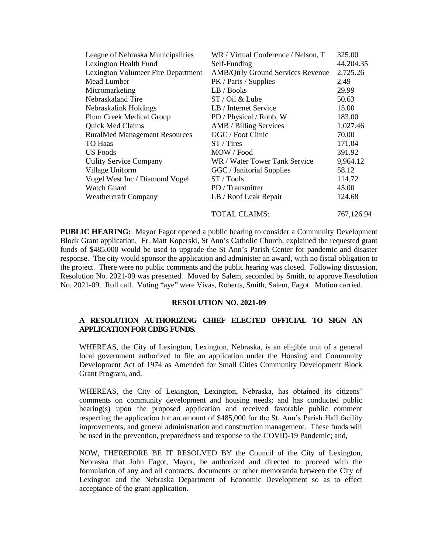| League of Nebraska Municipalities    | WR / Virtual Conference / Nelson, T      | 325.00     |
|--------------------------------------|------------------------------------------|------------|
| Lexington Health Fund                | Self-Funding                             | 44,204.35  |
| Lexington Volunteer Fire Department  | <b>AMB/Qtrly Ground Services Revenue</b> | 2,725.26   |
| Mead Lumber                          | PK / Parts / Supplies                    | 2.49       |
| Micromarketing                       | LB / Books                               | 29.99      |
| Nebraskaland Tire                    | ST / Oil & Lube                          | 50.63      |
| Nebraskalink Holdings                | LB / Internet Service                    | 15.00      |
| Plum Creek Medical Group             | PD / Physical / Robb, W                  | 183.00     |
| Quick Med Claims                     | AMB / Billing Services                   | 1,027.46   |
| <b>RuralMed Management Resources</b> | GGC / Foot Clinic                        | 70.00      |
| <b>TO Haas</b>                       | $ST / T$ ires                            | 171.04     |
| <b>US</b> Foods                      | MOW / Food                               | 391.92     |
| <b>Utility Service Company</b>       | WR / Water Tower Tank Service            | 9,964.12   |
| Village Uniform                      | GGC / Janitorial Supplies                | 58.12      |
| Vogel West Inc / Diamond Vogel       | ST / Tools                               | 114.72     |
| <b>Watch Guard</b>                   | PD / Transmitter                         | 45.00      |
| <b>Weathercraft Company</b>          | LB / Roof Leak Repair                    | 124.68     |
|                                      | <b>TOTAL CLAIMS:</b>                     | 767,126.94 |

**PUBLIC HEARING:** Mayor Fagot opened a public hearing to consider a Community Development Block Grant application. Fr. Matt Koperski, St Ann's Catholic Church, explained the requested grant funds of \$485,000 would be used to upgrade the St Ann's Parish Center for pandemic and disaster response. The city would sponsor the application and administer an award, with no fiscal obligation to the project. There were no public comments and the public hearing was closed. Following discussion, Resolution No. 2021-09 was presented. Moved by Salem, seconded by Smith, to approve Resolution No. 2021-09. Roll call. Voting "aye" were Vivas, Roberts, Smith, Salem, Fagot. Motion carried.

#### **RESOLUTION NO. 2021-09**

### **A RESOLUTION AUTHORIZING CHIEF ELECTED OFFICIAL TO SIGN AN APPLICATION FOR CDBG FUNDS.**

WHEREAS, the City of Lexington, Lexington, Nebraska, is an eligible unit of a general local government authorized to file an application under the Housing and Community Development Act of 1974 as Amended for Small Cities Community Development Block Grant Program, and,

WHEREAS, the City of Lexington, Lexington, Nebraska, has obtained its citizens' comments on community development and housing needs; and has conducted public hearing(s) upon the proposed application and received favorable public comment respecting the application for an amount of \$485,000 for the St. Ann's Parish Hall facility improvements, and general administration and construction management. These funds will be used in the prevention, preparedness and response to the COVID-19 Pandemic; and,

NOW, THEREFORE BE IT RESOLVED BY the Council of the City of Lexington, Nebraska that John Fagot, Mayor, be authorized and directed to proceed with the formulation of any and all contracts, documents or other memoranda between the City of Lexington and the Nebraska Department of Economic Development so as to effect acceptance of the grant application.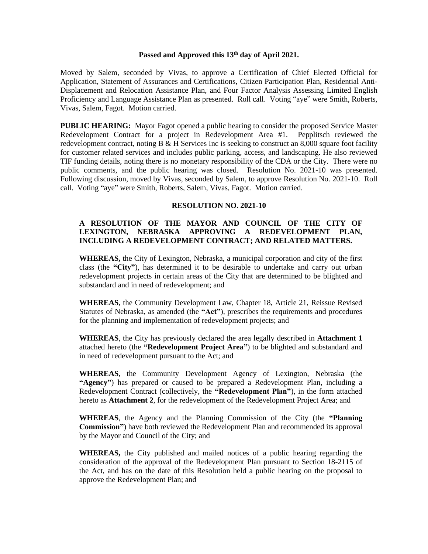# **Passed and Approved this 13th day of April 2021.**

Moved by Salem, seconded by Vivas, to approve a Certification of Chief Elected Official for Application, Statement of Assurances and Certifications, Citizen Participation Plan, Residential Anti-Displacement and Relocation Assistance Plan, and Four Factor Analysis Assessing Limited English Proficiency and Language Assistance Plan as presented. Roll call. Voting "aye" were Smith, Roberts, Vivas, Salem, Fagot. Motion carried.

**PUBLIC HEARING:** Mayor Fagot opened a public hearing to consider the proposed Service Master Redevelopment Contract for a project in Redevelopment Area #1. Pepplitsch reviewed the redevelopment contract, noting B  $\&$  H Services Inc is seeking to construct an 8,000 square foot facility for customer related services and includes public parking, access, and landscaping. He also reviewed TIF funding details, noting there is no monetary responsibility of the CDA or the City. There were no public comments, and the public hearing was closed. Resolution No. 2021-10 was presented. Following discussion, moved by Vivas, seconded by Salem, to approve Resolution No. 2021-10. Roll call. Voting "aye" were Smith, Roberts, Salem, Vivas, Fagot. Motion carried.

### **RESOLUTION NO. 2021-10**

## **A RESOLUTION OF THE MAYOR AND COUNCIL OF THE CITY OF LEXINGTON, NEBRASKA APPROVING A REDEVELOPMENT PLAN, INCLUDING A REDEVELOPMENT CONTRACT; AND RELATED MATTERS.**

**WHEREAS,** the City of Lexington, Nebraska, a municipal corporation and city of the first class (the **"City"**), has determined it to be desirable to undertake and carry out urban redevelopment projects in certain areas of the City that are determined to be blighted and substandard and in need of redevelopment; and

**WHEREAS**, the Community Development Law, Chapter 18, Article 21, Reissue Revised Statutes of Nebraska, as amended (the **"Act"**), prescribes the requirements and procedures for the planning and implementation of redevelopment projects; and

**WHEREAS**, the City has previously declared the area legally described in **Attachment 1** attached hereto (the **"Redevelopment Project Area"**) to be blighted and substandard and in need of redevelopment pursuant to the Act; and

**WHEREAS**, the Community Development Agency of Lexington, Nebraska (the **"Agency"**) has prepared or caused to be prepared a Redevelopment Plan, including a Redevelopment Contract (collectively, the **"Redevelopment Plan"**), in the form attached hereto as **Attachment 2**, for the redevelopment of the Redevelopment Project Area; and

**WHEREAS**, the Agency and the Planning Commission of the City (the **"Planning Commission"**) have both reviewed the Redevelopment Plan and recommended its approval by the Mayor and Council of the City; and

**WHEREAS,** the City published and mailed notices of a public hearing regarding the consideration of the approval of the Redevelopment Plan pursuant to Section 18-2115 of the Act, and has on the date of this Resolution held a public hearing on the proposal to approve the Redevelopment Plan; and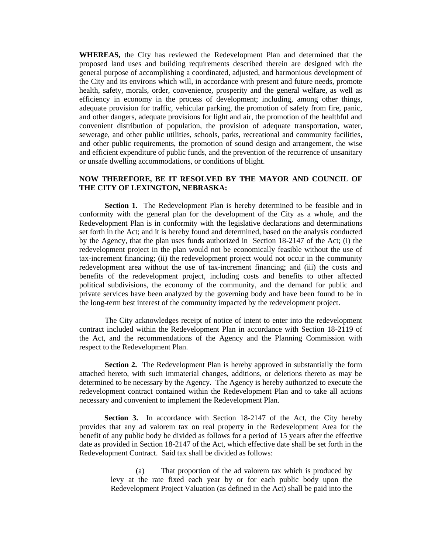**WHEREAS,** the City has reviewed the Redevelopment Plan and determined that the proposed land uses and building requirements described therein are designed with the general purpose of accomplishing a coordinated, adjusted, and harmonious development of the City and its environs which will, in accordance with present and future needs, promote health, safety, morals, order, convenience, prosperity and the general welfare, as well as efficiency in economy in the process of development; including, among other things, adequate provision for traffic, vehicular parking, the promotion of safety from fire, panic, and other dangers, adequate provisions for light and air, the promotion of the healthful and convenient distribution of population, the provision of adequate transportation, water, sewerage, and other public utilities, schools, parks, recreational and community facilities, and other public requirements, the promotion of sound design and arrangement, the wise and efficient expenditure of public funds, and the prevention of the recurrence of unsanitary or unsafe dwelling accommodations, or conditions of blight.

### **NOW THEREFORE, BE IT RESOLVED BY THE MAYOR AND COUNCIL OF THE CITY OF LEXINGTON, NEBRASKA:**

**Section 1.** The Redevelopment Plan is hereby determined to be feasible and in conformity with the general plan for the development of the City as a whole, and the Redevelopment Plan is in conformity with the legislative declarations and determinations set forth in the Act; and it is hereby found and determined, based on the analysis conducted by the Agency, that the plan uses funds authorized in Section 18-2147 of the Act; (i) the redevelopment project in the plan would not be economically feasible without the use of tax-increment financing; (ii) the redevelopment project would not occur in the community redevelopment area without the use of tax-increment financing; and (iii) the costs and benefits of the redevelopment project, including costs and benefits to other affected political subdivisions, the economy of the community, and the demand for public and private services have been analyzed by the governing body and have been found to be in the long-term best interest of the community impacted by the redevelopment project.

The City acknowledges receipt of notice of intent to enter into the redevelopment contract included within the Redevelopment Plan in accordance with Section 18-2119 of the Act, and the recommendations of the Agency and the Planning Commission with respect to the Redevelopment Plan.

**Section 2.** The Redevelopment Plan is hereby approved in substantially the form attached hereto, with such immaterial changes, additions, or deletions thereto as may be determined to be necessary by the Agency. The Agency is hereby authorized to execute the redevelopment contract contained within the Redevelopment Plan and to take all actions necessary and convenient to implement the Redevelopment Plan.

**Section 3.** In accordance with Section 18-2147 of the Act, the City hereby provides that any ad valorem tax on real property in the Redevelopment Area for the benefit of any public body be divided as follows for a period of 15 years after the effective date as provided in Section 18-2147 of the Act, which effective date shall be set forth in the Redevelopment Contract. Said tax shall be divided as follows:

> (a) That proportion of the ad valorem tax which is produced by levy at the rate fixed each year by or for each public body upon the Redevelopment Project Valuation (as defined in the Act) shall be paid into the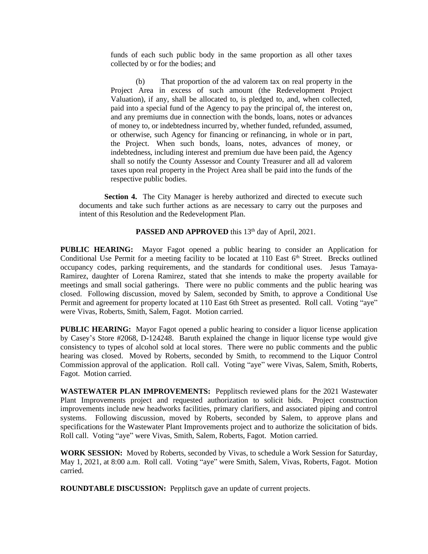funds of each such public body in the same proportion as all other taxes collected by or for the bodies; and

(b) That proportion of the ad valorem tax on real property in the Project Area in excess of such amount (the Redevelopment Project Valuation), if any, shall be allocated to, is pledged to, and, when collected, paid into a special fund of the Agency to pay the principal of, the interest on, and any premiums due in connection with the bonds, loans, notes or advances of money to, or indebtedness incurred by, whether funded, refunded, assumed, or otherwise, such Agency for financing or refinancing, in whole or in part, the Project. When such bonds, loans, notes, advances of money, or indebtedness, including interest and premium due have been paid, the Agency shall so notify the County Assessor and County Treasurer and all ad valorem taxes upon real property in the Project Area shall be paid into the funds of the respective public bodies.

**Section 4.** The City Manager is hereby authorized and directed to execute such documents and take such further actions as are necessary to carry out the purposes and intent of this Resolution and the Redevelopment Plan.

PASSED AND APPROVED this 13<sup>th</sup> day of April, 2021.

**PUBLIC HEARING:** Mayor Fagot opened a public hearing to consider an Application for Conditional Use Permit for a meeting facility to be located at 110 East 6<sup>th</sup> Street. Brecks outlined occupancy codes, parking requirements, and the standards for conditional uses. Jesus Tamaya-Ramirez, daughter of Lorena Ramirez, stated that she intends to make the property available for meetings and small social gatherings. There were no public comments and the public hearing was closed. Following discussion, moved by Salem, seconded by Smith, to approve a Conditional Use Permit and agreement for property located at 110 East 6th Street as presented. Roll call. Voting "aye" were Vivas, Roberts, Smith, Salem, Fagot. Motion carried.

**PUBLIC HEARING:** Mayor Fagot opened a public hearing to consider a liquor license application by Casey's Store #2068, D-124248. Baruth explained the change in liquor license type would give consistency to types of alcohol sold at local stores. There were no public comments and the public hearing was closed. Moved by Roberts, seconded by Smith, to recommend to the Liquor Control Commission approval of the application. Roll call. Voting "aye" were Vivas, Salem, Smith, Roberts, Fagot. Motion carried.

**WASTEWATER PLAN IMPROVEMENTS:** Pepplitsch reviewed plans for the 2021 Wastewater Plant Improvements project and requested authorization to solicit bids. Project construction improvements include new headworks facilities, primary clarifiers, and associated piping and control systems. Following discussion, moved by Roberts, seconded by Salem, to approve plans and specifications for the Wastewater Plant Improvements project and to authorize the solicitation of bids. Roll call. Voting "aye" were Vivas, Smith, Salem, Roberts, Fagot. Motion carried.

**WORK SESSION:** Moved by Roberts, seconded by Vivas, to schedule a Work Session for Saturday, May 1, 2021, at 8:00 a.m. Roll call. Voting "aye" were Smith, Salem, Vivas, Roberts, Fagot. Motion carried.

**ROUNDTABLE DISCUSSION:** Pepplitsch gave an update of current projects.